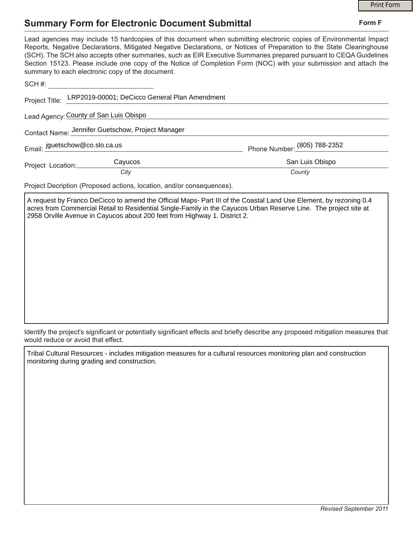## **Summary Form for Electronic Document Submittal**

|                                                       |                                                                          | <b>Print Form</b>                                                                                                                                                                                                                                                                                                                                                                                                                                                                     |
|-------------------------------------------------------|--------------------------------------------------------------------------|---------------------------------------------------------------------------------------------------------------------------------------------------------------------------------------------------------------------------------------------------------------------------------------------------------------------------------------------------------------------------------------------------------------------------------------------------------------------------------------|
| <b>Summary Form for Electronic Document Submittal</b> | Form F                                                                   |                                                                                                                                                                                                                                                                                                                                                                                                                                                                                       |
|                                                       | summary to each electronic copy of the document.                         | Lead agencies may include 15 hardcopies of this document when submitting electronic copies of Environmental Impact<br>Reports, Negative Declarations, Mitigated Negative Declarations, or Notices of Preparation to the State Clearinghouse<br>(SCH). The SCH also accepts other summaries, such as EIR Executive Summaries prepared pursuant to CEQA Guidelines<br>Section 15123. Please include one copy of the Notice of Completion Form (NOC) with your submission and attach the |
|                                                       |                                                                          |                                                                                                                                                                                                                                                                                                                                                                                                                                                                                       |
|                                                       | Project Title: LRP2019-00001; DeCicco General Plan Amendment             |                                                                                                                                                                                                                                                                                                                                                                                                                                                                                       |
| Lead Agency: County of San Luis Obispo                |                                                                          |                                                                                                                                                                                                                                                                                                                                                                                                                                                                                       |
|                                                       | Contact Name: Jennifer Guetschow, Project Manager                        |                                                                                                                                                                                                                                                                                                                                                                                                                                                                                       |
|                                                       | Email: jguetschow@co.slo.ca.us<br>Email: <u>jguetschow@co.slo.ca</u> .us | Phone Number: (805) 788-2352                                                                                                                                                                                                                                                                                                                                                                                                                                                          |
| Project Location:                                     | Cayucos                                                                  | San Luis Obispo                                                                                                                                                                                                                                                                                                                                                                                                                                                                       |
|                                                       | City                                                                     | County                                                                                                                                                                                                                                                                                                                                                                                                                                                                                |
|                                                       | Project Decription (Proposed actions, location, and/or consequences).    |                                                                                                                                                                                                                                                                                                                                                                                                                                                                                       |
|                                                       |                                                                          | A request by Franco DeCicco to amend the Official Maps- Part III of the Coastal Land Use Element, by rezoning 0.4<br>and form Ormanized Datallity Davidsation Olively Family in the Original Holme Davidse His a The most of the ot                                                                                                                                                                                                                                                   |

acres from Commercial Retail to Residential Single-Family in the Cayucos Urban Reserve Line. The project site at 2958 Orville Avenue in Cayucos about 200 feet from Highway 1. District 2.

Identify the project's significant or potentially significant effects and briefly describe any proposed mitigation measures that would reduce or avoid that effect.

Tribal Cultural Resources - includes mitigation measures for a cultural resources monitoring plan and construction monitoring during grading and construction.